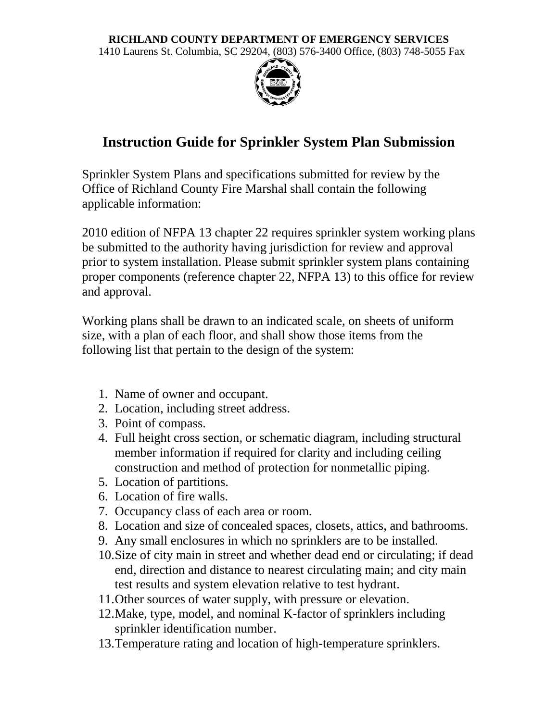## **RICHLAND COUNTY DEPARTMENT OF EMERGENCY SERVICES**

1410 Laurens St. Columbia, SC 29204, (803) 576-3400 Office, (803) 748-5055 Fax



## **Instruction Guide for Sprinkler System Plan Submission**

Sprinkler System Plans and specifications submitted for review by the Office of Richland County Fire Marshal shall contain the following applicable information:

2010 edition of NFPA 13 chapter 22 requires sprinkler system working plans be submitted to the authority having jurisdiction for review and approval prior to system installation. Please submit sprinkler system plans containing proper components (reference chapter 22, NFPA 13) to this office for review and approval.

Working plans shall be drawn to an indicated scale, on sheets of uniform size, with a plan of each floor, and shall show those items from the following list that pertain to the design of the system:

- 1. Name of owner and occupant.
- 2. Location, including street address.
- 3. Point of compass.
- 4. Full height cross section, or schematic diagram, including structural member information if required for clarity and including ceiling construction and method of protection for nonmetallic piping.
- 5. Location of partitions.
- 6. Location of fire walls.
- 7. Occupancy class of each area or room.
- 8. Location and size of concealed spaces, closets, attics, and bathrooms.
- 9. Any small enclosures in which no sprinklers are to be installed.
- 10.Size of city main in street and whether dead end or circulating; if dead end, direction and distance to nearest circulating main; and city main test results and system elevation relative to test hydrant.
- 11.Other sources of water supply, with pressure or elevation.
- 12.Make, type, model, and nominal K-factor of sprinklers including sprinkler identification number.
- 13.Temperature rating and location of high-temperature sprinklers.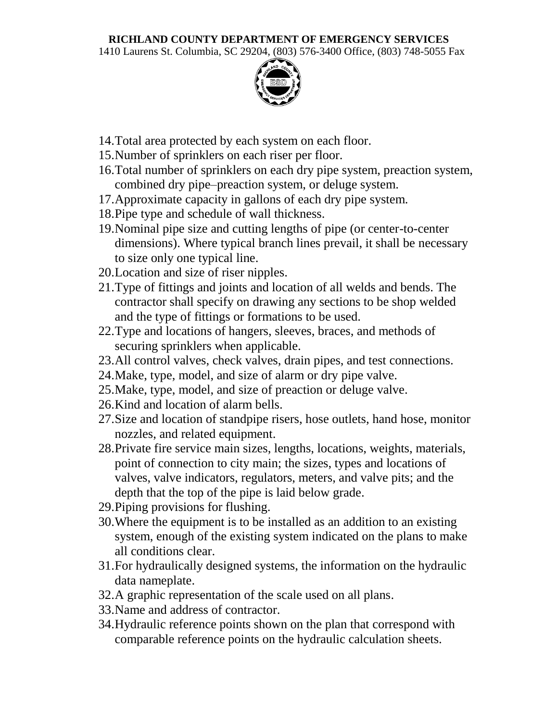## **RICHLAND COUNTY DEPARTMENT OF EMERGENCY SERVICES**

1410 Laurens St. Columbia, SC 29204, (803) 576-3400 Office, (803) 748-5055 Fax



- 14.Total area protected by each system on each floor.
- 15.Number of sprinklers on each riser per floor.
- 16.Total number of sprinklers on each dry pipe system, preaction system, combined dry pipe–preaction system, or deluge system.
- 17.Approximate capacity in gallons of each dry pipe system.
- 18.Pipe type and schedule of wall thickness.
- 19.Nominal pipe size and cutting lengths of pipe (or center-to-center dimensions). Where typical branch lines prevail, it shall be necessary to size only one typical line.
- 20.Location and size of riser nipples.
- 21.Type of fittings and joints and location of all welds and bends. The contractor shall specify on drawing any sections to be shop welded and the type of fittings or formations to be used.
- 22.Type and locations of hangers, sleeves, braces, and methods of securing sprinklers when applicable.
- 23.All control valves, check valves, drain pipes, and test connections.
- 24.Make, type, model, and size of alarm or dry pipe valve.
- 25.Make, type, model, and size of preaction or deluge valve.
- 26.Kind and location of alarm bells.
- 27.Size and location of standpipe risers, hose outlets, hand hose, monitor nozzles, and related equipment.
- 28.Private fire service main sizes, lengths, locations, weights, materials, point of connection to city main; the sizes, types and locations of valves, valve indicators, regulators, meters, and valve pits; and the depth that the top of the pipe is laid below grade.
- 29.Piping provisions for flushing.
- 30.Where the equipment is to be installed as an addition to an existing system, enough of the existing system indicated on the plans to make all conditions clear.
- 31.For hydraulically designed systems, the information on the hydraulic data nameplate.
- 32.A graphic representation of the scale used on all plans.
- 33.Name and address of contractor.
- 34.Hydraulic reference points shown on the plan that correspond with comparable reference points on the hydraulic calculation sheets.